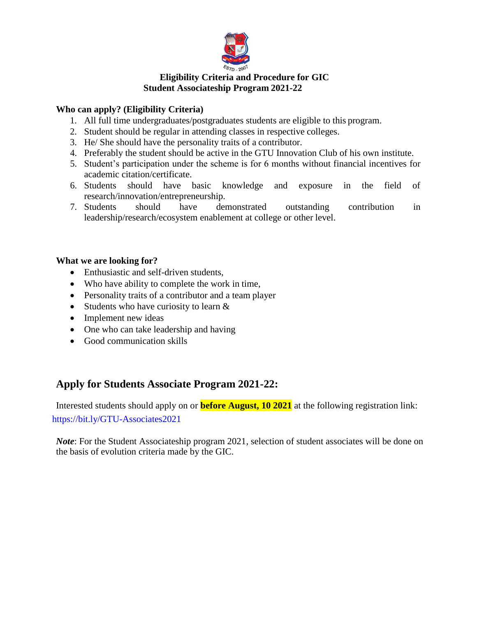

## **Eligibility Criteria and Procedure for GIC Student Associateship Program 2021-22**

## **Who can apply? (Eligibility Criteria)**

- 1. All full time undergraduates/postgraduates students are eligible to this program.
- 2. Student should be regular in attending classes in respective colleges.
- 3. He/ She should have the personality traits of a contributor.
- 4. Preferably the student should be active in the GTU Innovation Club of his own institute.
- 5. Student's participation under the scheme is for 6 months without financial incentives for academic citation/certificate.
- 6. Students should have basic knowledge and exposure in the field of research/innovation/entrepreneurship.
- 7. Students should have demonstrated outstanding contribution in leadership/research/ecosystem enablement at college or other level.

## **What we are looking for?**

- Enthusiastic and self-driven students,
- Who have ability to complete the work in time,
- Personality traits of a contributor and a team player
- Students who have curiosity to learn  $&$
- Implement new ideas
- One who can take leadership and having
- Good communication skills

# **Apply for Students Associate Program 2021-22:**

Interested students should apply on or **before August, 10 2021** at the following registration link: [https://bit.ly/GTU-Associates2021](https://www.google.com/url?q=https://bit.ly/GTU-Associates2021&sa=D&source=hangouts&ust=1627129977535000&usg=AFQjCNF8tGq0-96OXWUimLs-TXJjZq_cNA)

*Note*: For the Student Associateship program 2021, selection of student associates will be done on the basis of evolution criteria made by the GIC.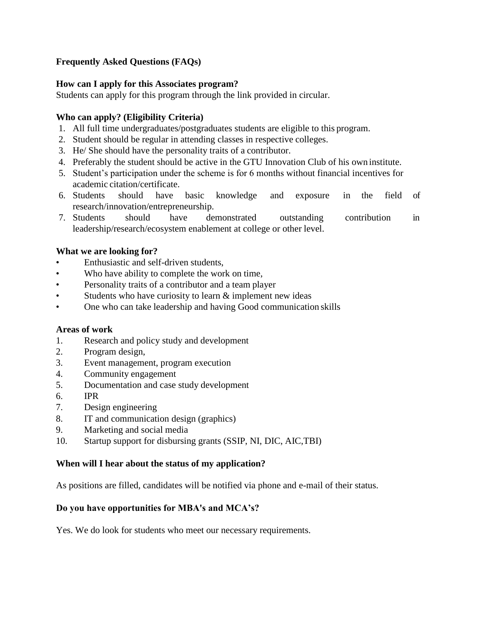## **Frequently Asked Questions (FAQs)**

## **How can I apply for this Associates program?**

Students can apply for this program through the link provided in circular.

## **Who can apply? (Eligibility Criteria)**

- 1. All full time undergraduates/postgraduates students are eligible to this program.
- 2. Student should be regular in attending classes in respective colleges.
- 3. He/ She should have the personality traits of a contributor.
- 4. Preferably the student should be active in the GTU Innovation Club of his own institute.
- 5. Student's participation under the scheme is for 6 months without financial incentives for academic citation/certificate.
- 6. Students should have basic knowledge and exposure in the field of research/innovation/entrepreneurship.
- 7. Students should have demonstrated outstanding contribution in leadership/research/ecosystem enablement at college or other level.

## **What we are looking for?**

- Enthusiastic and self-driven students,
- Who have ability to complete the work on time,
- Personality traits of a contributor and a team player
- Students who have curiosity to learn  $&$  implement new ideas
- One who can take leadership and having Good communication skills

#### **Areas of work**

- 1. Research and policy study and development
- 2. Program design,
- 3. Event management, program execution
- 4. Community engagement
- 5. Documentation and case study development
- 6. IPR
- 7. Design engineering
- 8. IT and communication design (graphics)
- 9. Marketing and social media
- 10. Startup support for disbursing grants (SSIP, NI, DIC, AIC,TBI)

#### **When will I hear about the status of my application?**

As positions are filled, candidates will be notified via phone and e-mail of their status.

#### **Do you have opportunities for MBA's and MCA's?**

Yes. We do look for students who meet our necessary requirements.